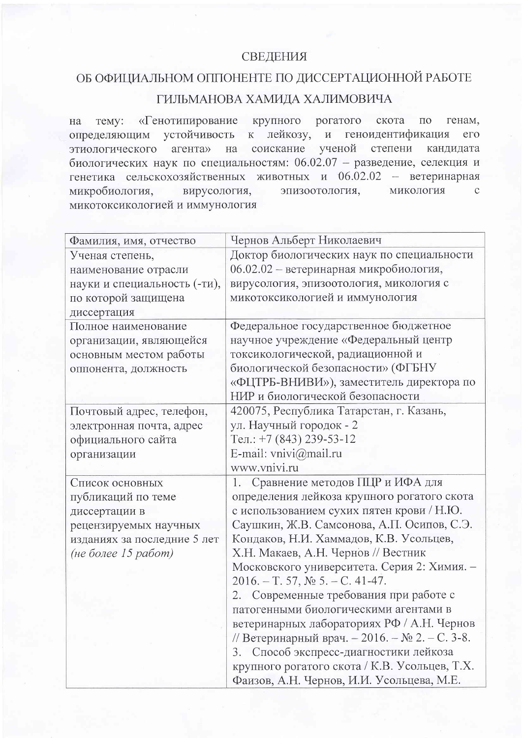## СВЕДЕНИЯ

## ОБ ОФИЦИАЛЬНОМ ОППОНЕНТЕ ПО ДИССЕРТАЦИОННОЙ РАБОТЕ ГИЛЬМАНОВА ХАМИДА ХАЛИМОВИЧА

тему: «Генотипирование крупного рогатого скота по генам, на определяющим устойчивость к лейкозу, и геноидентификация  $e_{\Gamma}$ соискание ученой степени кандидата этиологического агента» на биологических наук по специальностям: 06.02.07 - разведение, селекция и генетика сельскохозяйственных животных и 06.02.02 - ветеринарная вирусология, эпизоотология, микология микробиология,  $\mathcal{C}$ микотоксикологией и иммунология

| Фамилия, имя, отчество       | Чернов Альберт Николаевич                      |
|------------------------------|------------------------------------------------|
| Ученая степень,              | Доктор биологических наук по специальности     |
| наименование отрасли         | 06.02.02 - ветеринарная микробиология,         |
| науки и специальность (-ти), | вирусология, эпизоотология, микология с        |
| по которой защищена          | микотоксикологией и иммунология                |
| диссертация                  |                                                |
| Полное наименование          | Федеральное государственное бюджетное          |
| организации, являющейся      | научное учреждение «Федеральный центр          |
| основным местом работы       | токсикологической, радиационной и              |
| оппонента, должность         | биологической безопасности» (ФГБНУ             |
|                              | «ФЦТРБ-ВНИВИ»), заместитель директора по       |
|                              | НИР и биологической безопасности               |
| Почтовый адрес, телефон,     | 420075, Республика Татарстан, г. Казань,       |
| электронная почта, адрес     | ул. Научный городок - 2                        |
| официального сайта           | Тел.: $+7$ (843) 239-53-12                     |
| организации                  | E-mail: vnivi@mail.ru                          |
|                              | www.vnivi.ru                                   |
| Список основных              | Сравнение методов ПЦР и ИФА для<br>1.          |
| публикаций по теме           | определения лейкоза крупного рогатого скота    |
|                              |                                                |
| диссертации в                | с использованием сухих пятен крови / Н.Ю.      |
| рецензируемых научных        | Саушкин, Ж.В. Самсонова, А.П. Осипов, С.Э.     |
| изданиях за последние 5 лет  | Кондаков, Н.И. Хаммадов, К.В. Усольцев,        |
| (не более 15 работ)          | Х.Н. Макаев, А.Н. Чернов // Вестник            |
|                              | Московского университета. Серия 2: Химия. -    |
|                              | $2016. - T. 57,$ No 5. - C. 41-47.             |
|                              | 2. Современные требования при работе с         |
|                              | патогенными биологическими агентами в          |
|                              | ветеринарных лабораториях РФ / А.Н. Чернов     |
|                              | // Ветеринарный врач. - 2016. - № 2. - С. 3-8. |
|                              | Способ экспресс-диагностики лейкоза<br>3.      |
|                              | крупного рогатого скота / К.В. Усольцев, Т.Х.  |